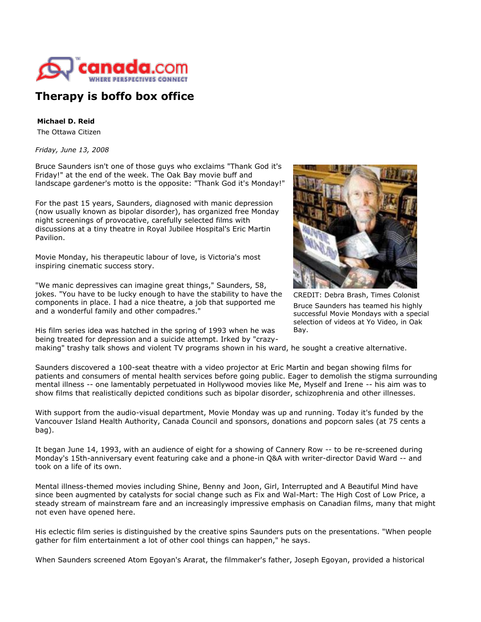

## **Therapy is boffo box office**

**Michael D. Reid**

The Ottawa Citizen

*Friday, June 13, 2008*

Bruce Saunders isn't one of those guys who exclaims "Thank God it's Friday!" at the end of the week. The Oak Bay movie buff and landscape gardener's motto is the opposite: "Thank God it's Monday!"

For the past 15 years, Saunders, diagnosed with manic depression (now usually known as bipolar disorder), has organized free Monday night screenings of provocative, carefully selected films with discussions at a tiny theatre in Royal Jubilee Hospital's Eric Martin Pavilion.

Movie Monday, his therapeutic labour of love, is Victoria's most inspiring cinematic success story.

"We manic depressives can imagine great things," Saunders, 58, jokes. "You have to be lucky enough to have the stability to have the components in place. I had a nice theatre, a job that supported me and a wonderful family and other compadres."

His film series idea was hatched in the spring of 1993 when he was being treated for depression and a suicide attempt. Irked by "crazy-



CREDIT: Debra Brash, Times Colonist Bruce Saunders has teamed his highly successful Movie Mondays with a special selection of videos at Yo Video, in Oak Bay.

making" trashy talk shows and violent TV programs shown in his ward, he sought a creative alternative.

Saunders discovered a 100-seat theatre with a video projector at Eric Martin and began showing films for patients and consumers of mental health services before going public. Eager to demolish the stigma surrounding mental illness -- one lamentably perpetuated in Hollywood movies like Me, Myself and Irene -- his aim was to show films that realistically depicted conditions such as bipolar disorder, schizophrenia and other illnesses.

With support from the audio-visual department, Movie Monday was up and running. Today it's funded by the Vancouver Island Health Authority, Canada Council and sponsors, donations and popcorn sales (at 75 cents a bag).

It began June 14, 1993, with an audience of eight for a showing of Cannery Row -- to be re-screened during Monday's 15th-anniversary event featuring cake and a phone-in Q&A with writer-director David Ward -- and took on a life of its own.

Mental illness-themed movies including Shine, Benny and Joon, Girl, Interrupted and A Beautiful Mind have since been augmented by catalysts for social change such as Fix and Wal-Mart: The High Cost of Low Price, a steady stream of mainstream fare and an increasingly impressive emphasis on Canadian films, many that might not even have opened here.

His eclectic film series is distinguished by the creative spins Saunders puts on the presentations. "When people gather for film entertainment a lot of other cool things can happen," he says.

When Saunders screened Atom Egoyan's Ararat, the filmmaker's father, Joseph Egoyan, provided a historical